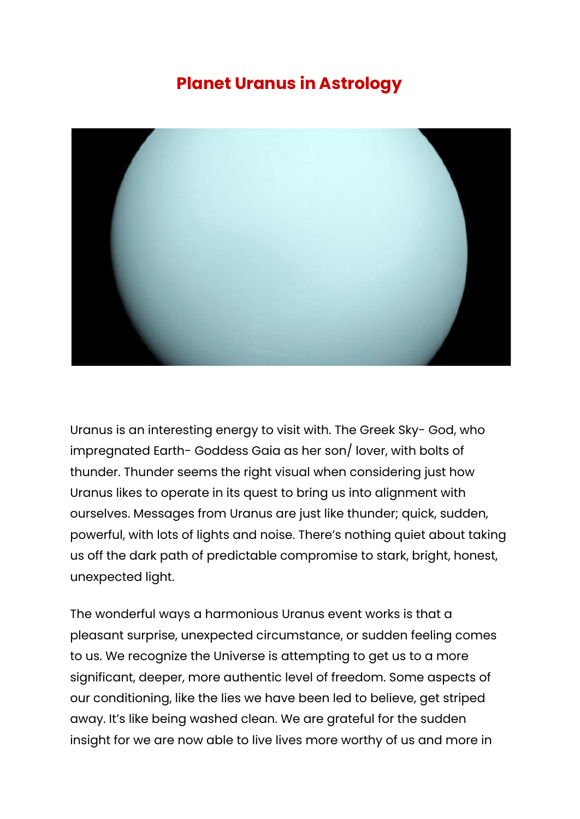## **Planet Uranus in Astrology**



Uranus is an interesting energy to visit with. The Greek Sky- God, who impregnated Earth- Goddess Gaia as her son/ lover, with bolts of thunder. Thunder seems the right visual when considering just how Uranus likes to operate in its quest to bring us into alignment with ourselves. Messages from Uranus are just like thunder; quick, sudden, powerful, with lots of lights and noise. There's nothing quiet about taking us off the dark path of predictable compromise to stark, bright, honest, unexpected light.

The wonderful ways a harmonious Uranus event works is that a pleasant surprise, unexpected circumstance, or sudden feeling comes to us. We recognize the Universe is attempting to get us to a more significant, deeper, more authentic level of freedom. Some aspects of our conditioning, like the lies we have been led to believe, get striped away. It's like being washed clean. We are grateful for the sudden insight for we are now able to live lives more worthy of us and more in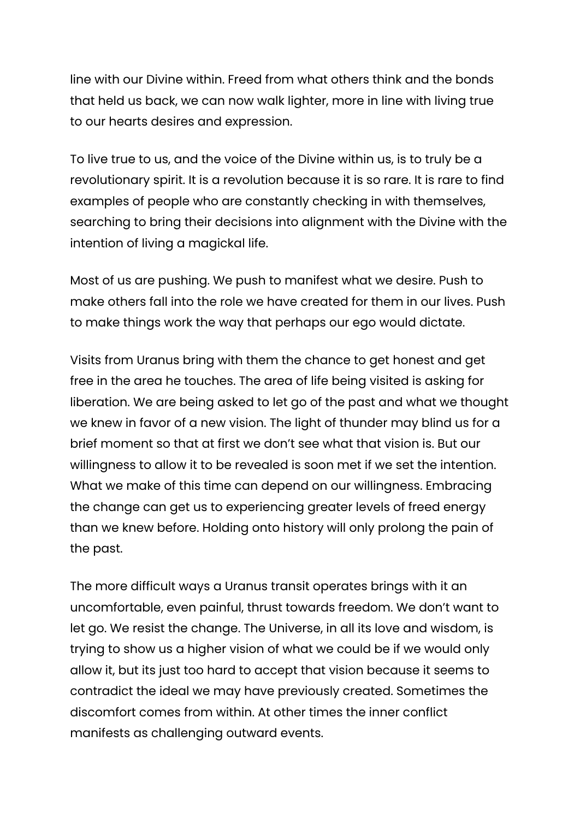line with our Divine within. Freed from what others think and the bonds that held us back, we can now walk lighter, more in line with living true to our hearts desires and expression.

To live true to us, and the voice of the Divine within us, is to truly be a revolutionary spirit. It is a revolution because it is so rare. It is rare to find examples of people who are constantly checking in with themselves, searching to bring their decisions into alignment with the Divine with the intention of living a magickal life.

Most of us are pushing. We push to manifest what we desire. Push to make others fall into the role we have created for them in our lives. Push to make things work the way that perhaps our ego would dictate.

Visits from Uranus bring with them the chance to get honest and get free in the area he touches. The area of life being visited is asking for liberation. We are being asked to let go of the past and what we thought we knew in favor of a new vision. The light of thunder may blind us for a brief moment so that at first we don't see what that vision is. But our willingness to allow it to be revealed is soon met if we set the intention. What we make of this time can depend on our willingness. Embracing the change can get us to experiencing greater levels of freed energy than we knew before. Holding onto history will only prolong the pain of the past.

The more difficult ways a Uranus transit operates brings with it an uncomfortable, even painful, thrust towards freedom. We don't want to let go. We resist the change. The Universe, in all its love and wisdom, is trying to show us a higher vision of what we could be if we would only allow it, but its just too hard to accept that vision because it seems to contradict the ideal we may have previously created. Sometimes the discomfort comes from within. At other times the inner conflict manifests as challenging outward events.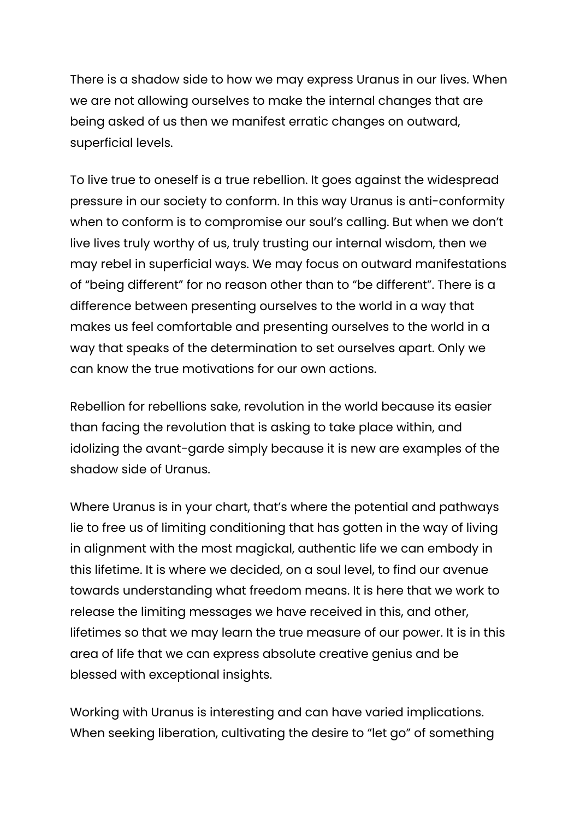There is a shadow side to how we may express Uranus in our lives. When we are not allowing ourselves to make the internal changes that are being asked of us then we manifest erratic changes on outward, superficial levels.

To live true to oneself is a true rebellion. It goes against the widespread pressure in our society to conform. In this way Uranus is anti-conformity when to conform is to compromise our soul's calling. But when we don't live lives truly worthy of us, truly trusting our internal wisdom, then we may rebel in superficial ways. We may focus on outward manifestations of "being different" for no reason other than to "be different". There is a difference between presenting ourselves to the world in a way that makes us feel comfortable and presenting ourselves to the world in a way that speaks of the determination to set ourselves apart. Only we can know the true motivations for our own actions.

Rebellion for rebellions sake, revolution in the world because its easier than facing the revolution that is asking to take place within, and idolizing the avant-garde simply because it is new are examples of the shadow side of Uranus.

Where Uranus is in your chart, that's where the potential and pathways lie to free us of limiting conditioning that has gotten in the way of living in alignment with the most magickal, authentic life we can embody in this lifetime. It is where we decided, on a soul level, to find our avenue towards understanding what freedom means. It is here that we work to release the limiting messages we have received in this, and other, lifetimes so that we may learn the true measure of our power. It is in this area of life that we can express absolute creative genius and be blessed with exceptional insights.

Working with Uranus is interesting and can have varied implications. When seeking liberation, cultivating the desire to "let go" of something